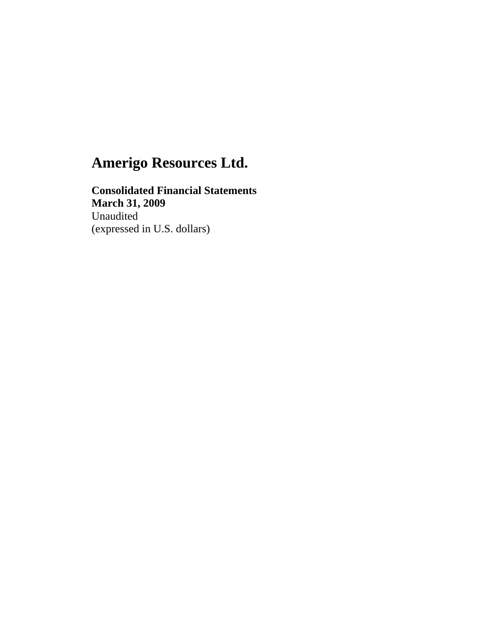**Consolidated Financial Statements March 31, 2009**  Unaudited (expressed in U.S. dollars)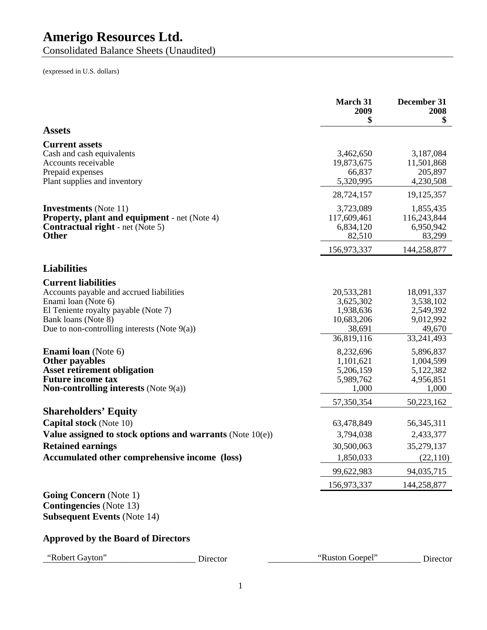Consolidated Balance Sheets (Unaudited)

(expressed in U.S. dollars)

|                                                                                                                                                                                                                 |                                                           | <b>March 31</b><br>2009<br>\$                                              | December 31<br>2008<br>\$                                                 |
|-----------------------------------------------------------------------------------------------------------------------------------------------------------------------------------------------------------------|-----------------------------------------------------------|----------------------------------------------------------------------------|---------------------------------------------------------------------------|
| <b>Assets</b>                                                                                                                                                                                                   |                                                           |                                                                            |                                                                           |
| <b>Current assets</b><br>Cash and cash equivalents<br>Accounts receivable<br>Prepaid expenses<br>Plant supplies and inventory                                                                                   |                                                           | 3,462,650<br>19,873,675<br>66,837<br>5,320,995                             | 3,187,084<br>11,501,868<br>205,897<br>4,230,508                           |
|                                                                                                                                                                                                                 |                                                           | 28,724,157                                                                 | 19,125,357                                                                |
| <b>Investments</b> (Note 11)<br><b>Property, plant and equipment - net (Note 4)</b><br><b>Contractual right</b> - net (Note 5)<br><b>Other</b>                                                                  |                                                           | 3,723,089<br>117,609,461<br>6,834,120<br>82,510                            | 1,855,435<br>116,243,844<br>6,950,942<br>83,299                           |
|                                                                                                                                                                                                                 |                                                           | 156,973,337                                                                | 144,258,877                                                               |
| <b>Liabilities</b>                                                                                                                                                                                              |                                                           |                                                                            |                                                                           |
| <b>Current liabilities</b><br>Accounts payable and accrued liabilities<br>Enami loan (Note 6)<br>El Teniente royalty payable (Note 7)<br>Bank loans (Note 8)<br>Due to non-controlling interests (Note $9(a)$ ) |                                                           | 20,533,281<br>3,625,302<br>1,938,636<br>10,683,206<br>38,691<br>36,819,116 | 18,091,337<br>3,538,102<br>2,549,392<br>9,012,992<br>49,670<br>33,241,493 |
| <b>Enami loan</b> (Note 6)<br><b>Other payables</b><br><b>Asset retirement obligation</b><br><b>Future income tax</b><br><b>Non-controlling interests</b> (Note $9(a)$ )                                        |                                                           | 8,232,696<br>1,101,621<br>5,206,159<br>5,989,762<br>1,000                  | 5,896,837<br>1,004,599<br>5,122,382<br>4,956,851<br>1,000                 |
|                                                                                                                                                                                                                 |                                                           | 57,350,354                                                                 | 50,223,162                                                                |
| <b>Shareholders' Equity</b><br><b>Capital stock</b> (Note 10)<br><b>Retained earnings</b><br>Accumulated other comprehensive income (loss)                                                                      | Value assigned to stock options and warrants (Note 10(e)) | 63,478,849<br>3,794,038<br>30,500,063<br>1,850,033<br>99,622,983           | 56, 345, 311<br>2,433,377<br>35,279,137<br>(22,110)<br>94,035,715         |
|                                                                                                                                                                                                                 |                                                           | 156,973,337                                                                | 144,258,877                                                               |
| <b>Going Concern</b> (Note 1)<br><b>Contingencies</b> (Note 13)<br><b>Subsequent Events (Note 14)</b><br><b>Approved by the Board of Directors</b>                                                              |                                                           |                                                                            |                                                                           |
|                                                                                                                                                                                                                 |                                                           |                                                                            |                                                                           |
| "Robert Gayton"                                                                                                                                                                                                 | Director                                                  | "Ruston Goepel"                                                            | Director                                                                  |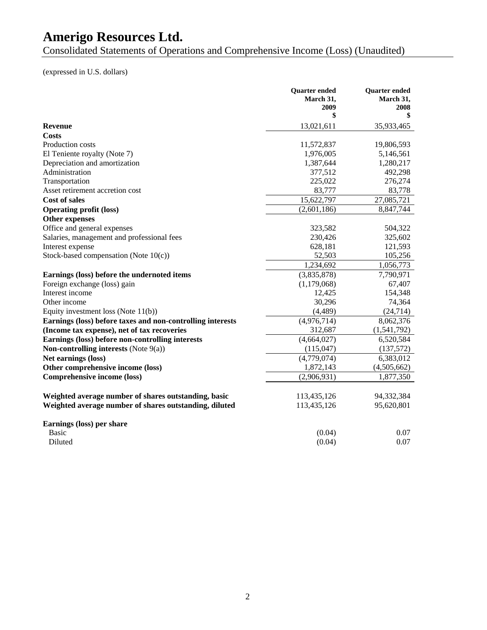Consolidated Statements of Operations and Comprehensive Income (Loss) (Unaudited)

(expressed in U.S. dollars)

|                                                            | <b>Quarter ended</b> | <b>Quarter</b> ended |
|------------------------------------------------------------|----------------------|----------------------|
|                                                            | March 31.            | March 31.            |
|                                                            | 2009<br>\$           | 2008<br>\$           |
| <b>Revenue</b>                                             | 13,021,611           | 35,933,465           |
| <b>Costs</b>                                               |                      |                      |
| Production costs                                           | 11,572,837           | 19,806,593           |
| El Teniente royalty (Note 7)                               | 1,976,005            | 5,146,561            |
| Depreciation and amortization                              | 1,387,644            | 1,280,217            |
| Administration                                             | 377,512              | 492,298              |
| Transportation                                             | 225,022              | 276,274              |
| Asset retirement accretion cost                            | 83,777               | 83,778               |
| <b>Cost of sales</b>                                       | 15,622,797           | 27,085,721           |
| <b>Operating profit (loss)</b>                             | (2,601,186)          | 8,847,744            |
| Other expenses                                             |                      |                      |
| Office and general expenses                                | 323,582              | 504,322              |
| Salaries, management and professional fees                 | 230,426              | 325,602              |
| Interest expense                                           | 628,181              | 121,593              |
| Stock-based compensation (Note $10(c)$ )                   | 52,503               | 105,256              |
|                                                            | 1,234,692            | 1,056,773            |
| Earnings (loss) before the undernoted items                | (3,835,878)          | 7,790,971            |
| Foreign exchange (loss) gain                               | (1,179,068)          | 67,407               |
| Interest income                                            | 12,425               | 154,348              |
| Other income                                               | 30,296               | 74,364               |
| Equity investment loss (Note $11(b)$ )                     | (4, 489)             | (24, 714)            |
| Earnings (loss) before taxes and non-controlling interests | (4,976,714)          | 8,062,376            |
| (Income tax expense), net of tax recoveries                | 312,687              | (1,541,792)          |
| Earnings (loss) before non-controlling interests           | (4,664,027)          | 6,520,584            |
| Non-controlling interests (Note $9(a)$ )                   | (115, 047)           | (137,572)            |
| Net earnings (loss)                                        | (4,779,074)          | 6,383,012            |
| Other comprehensive income (loss)                          | 1,872,143            | (4,505,662)          |
| <b>Comprehensive income (loss)</b>                         | (2,906,931)          | 1,877,350            |
| Weighted average number of shares outstanding, basic       | 113,435,126          | 94,332,384           |
| Weighted average number of shares outstanding, diluted     | 113,435,126          | 95,620,801           |
|                                                            |                      |                      |
| Earnings (loss) per share                                  |                      |                      |
| <b>Basic</b>                                               | (0.04)               | 0.07                 |
| Diluted                                                    | (0.04)               | 0.07                 |
|                                                            |                      |                      |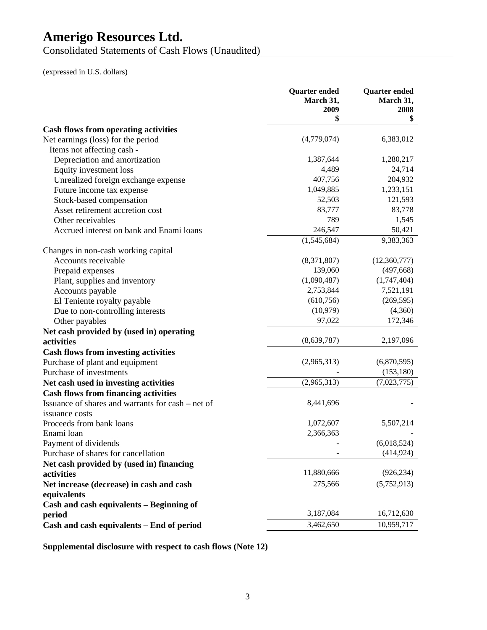Consolidated Statements of Cash Flows (Unaudited)

(expressed in U.S. dollars)

|                                                   | <b>Quarter</b> ended<br>March 31,<br>2009 | <b>Quarter</b> ended<br>March 31,<br>2008 |
|---------------------------------------------------|-------------------------------------------|-------------------------------------------|
|                                                   | \$                                        | \$                                        |
| <b>Cash flows from operating activities</b>       |                                           |                                           |
| Net earnings (loss) for the period                | (4,779,074)                               | 6,383,012                                 |
| Items not affecting cash -                        |                                           |                                           |
| Depreciation and amortization                     | 1,387,644                                 | 1,280,217                                 |
| Equity investment loss                            | 4,489                                     | 24,714                                    |
| Unrealized foreign exchange expense               | 407,756                                   | 204,932                                   |
| Future income tax expense                         | 1,049,885                                 | 1,233,151                                 |
| Stock-based compensation                          | 52,503                                    | 121,593                                   |
| Asset retirement accretion cost                   | 83,777                                    | 83,778                                    |
| Other receivables                                 | 789                                       | 1,545                                     |
| Accrued interest on bank and Enami loans          | 246,547                                   | 50,421                                    |
|                                                   | (1,545,684)                               | 9,383,363                                 |
| Changes in non-cash working capital               |                                           |                                           |
| Accounts receivable                               | (8,371,807)                               | (12,360,777)                              |
| Prepaid expenses                                  | 139,060                                   | (497, 668)                                |
| Plant, supplies and inventory                     | (1,090,487)                               | (1,747,404)                               |
| Accounts payable                                  | 2,753,844                                 | 7,521,191                                 |
| El Teniente royalty payable                       | (610, 756)                                | (269, 595)                                |
| Due to non-controlling interests                  | (10, 979)                                 | (4,360)                                   |
| Other payables                                    | 97,022                                    | 172,346                                   |
| Net cash provided by (used in) operating          |                                           |                                           |
| activities                                        | (8,639,787)                               | 2,197,096                                 |
| <b>Cash flows from investing activities</b>       |                                           |                                           |
| Purchase of plant and equipment                   | (2,965,313)                               | (6,870,595)                               |
| Purchase of investments                           |                                           | (153, 180)                                |
| Net cash used in investing activities             | (2,965,313)                               | (7,023,775)                               |
| <b>Cash flows from financing activities</b>       |                                           |                                           |
| Issuance of shares and warrants for cash – net of | 8,441,696                                 |                                           |
| issuance costs                                    |                                           |                                           |
| Proceeds from bank loans                          | 1,072,607                                 | 5,507,214                                 |
| Enami loan                                        | 2,366,363                                 |                                           |
| Payment of dividends                              |                                           | (6,018,524)                               |
| Purchase of shares for cancellation               |                                           | (414, 924)                                |
| Net cash provided by (used in) financing          |                                           |                                           |
| activities                                        | 11,880,666                                | (926, 234)                                |
| Net increase (decrease) in cash and cash          | 275,566                                   | (5,752,913)                               |
| equivalents                                       |                                           |                                           |
| Cash and cash equivalents - Beginning of          |                                           |                                           |
| period                                            | 3,187,084                                 | 16,712,630                                |
| Cash and cash equivalents - End of period         | 3,462,650                                 | 10,959,717                                |

**Supplemental disclosure with respect to cash flows (Note 12)**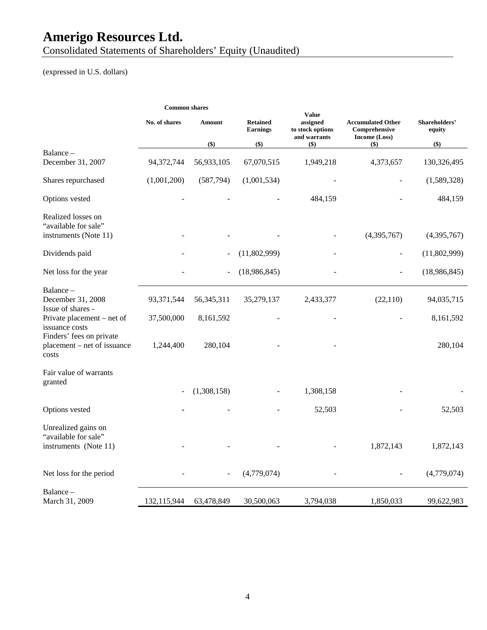Consolidated Statements of Shareholders' Equity (Unaudited)

# (expressed in U.S. dollars)

| <b>Common shares</b> |               |                                    |                                              |                                                            |                         |
|----------------------|---------------|------------------------------------|----------------------------------------------|------------------------------------------------------------|-------------------------|
| No. of shares        | <b>Amount</b> | <b>Retained</b><br><b>Earnings</b> | assigned<br>to stock options<br>and warrants | <b>Accumulated Other</b><br>Comprehensive<br>Income (Loss) | Shareholders'<br>equity |
|                      |               |                                    |                                              |                                                            | $($ \$)                 |
| 94,372,744           | 56,933,105    | 67,070,515                         | 1,949,218                                    | 4,373,657                                                  | 130,326,495             |
| (1,001,200)          | (587, 794)    | (1,001,534)                        |                                              |                                                            | (1,589,328)             |
|                      |               |                                    | 484,159                                      |                                                            | 484,159                 |
|                      |               |                                    |                                              | (4,395,767)                                                | (4,395,767)             |
|                      |               | (11,802,999)                       |                                              |                                                            | (11,802,999)            |
|                      |               | (18,986,845)                       |                                              |                                                            | (18,986,845)            |
| 93,371,544           | 56, 345, 311  | 35,279,137                         | 2,433,377                                    | (22,110)                                                   | 94,035,715              |
| 37,500,000           | 8,161,592     |                                    |                                              |                                                            | 8,161,592               |
| 1,244,400            | 280,104       |                                    |                                              |                                                            | 280,104                 |
|                      |               |                                    |                                              |                                                            |                         |
|                      | (1,308,158)   |                                    | 1,308,158                                    |                                                            |                         |
|                      |               |                                    | 52,503                                       |                                                            | 52,503                  |
|                      |               |                                    |                                              | 1,872,143                                                  | 1,872,143               |
|                      |               | (4,779,074)                        |                                              |                                                            | (4,779,074)             |
| 132,115,944          | 63,478,849    | 30,500,063                         | 3,794,038                                    | 1,850,033                                                  | 99,622,983              |
|                      |               | $($ \$)                            | $($)$                                        | <b>Value</b><br>$($)$                                      | $($ \$                  |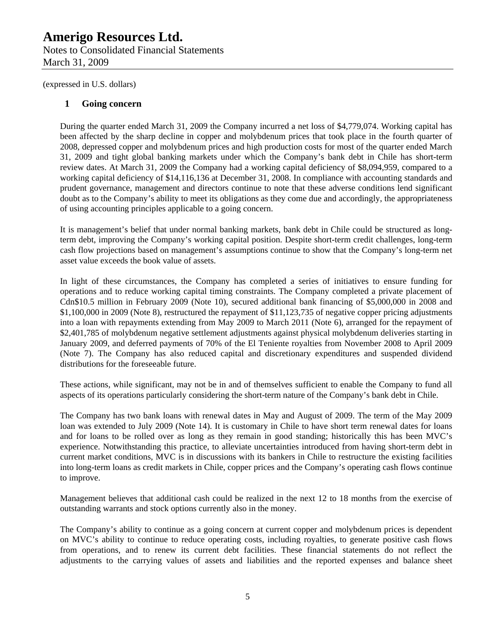Notes to Consolidated Financial Statements March 31, 2009

(expressed in U.S. dollars)

### **1 Going concern**

During the quarter ended March 31, 2009 the Company incurred a net loss of \$4,779,074. Working capital has been affected by the sharp decline in copper and molybdenum prices that took place in the fourth quarter of 2008, depressed copper and molybdenum prices and high production costs for most of the quarter ended March 31, 2009 and tight global banking markets under which the Company's bank debt in Chile has short-term review dates. At March 31, 2009 the Company had a working capital deficiency of \$8,094,959, compared to a working capital deficiency of \$14,116,136 at December 31, 2008. In compliance with accounting standards and prudent governance, management and directors continue to note that these adverse conditions lend significant doubt as to the Company's ability to meet its obligations as they come due and accordingly, the appropriateness of using accounting principles applicable to a going concern.

It is management's belief that under normal banking markets, bank debt in Chile could be structured as longterm debt, improving the Company's working capital position. Despite short-term credit challenges, long-term cash flow projections based on management's assumptions continue to show that the Company's long-term net asset value exceeds the book value of assets.

In light of these circumstances, the Company has completed a series of initiatives to ensure funding for operations and to reduce working capital timing constraints. The Company completed a private placement of Cdn\$10.5 million in February 2009 (Note 10), secured additional bank financing of \$5,000,000 in 2008 and \$1,100,000 in 2009 (Note 8), restructured the repayment of \$11,123,735 of negative copper pricing adjustments into a loan with repayments extending from May 2009 to March 2011 (Note 6), arranged for the repayment of \$2,401,785 of molybdenum negative settlement adjustments against physical molybdenum deliveries starting in January 2009, and deferred payments of 70% of the El Teniente royalties from November 2008 to April 2009 (Note 7). The Company has also reduced capital and discretionary expenditures and suspended dividend distributions for the foreseeable future.

These actions, while significant, may not be in and of themselves sufficient to enable the Company to fund all aspects of its operations particularly considering the short-term nature of the Company's bank debt in Chile.

The Company has two bank loans with renewal dates in May and August of 2009. The term of the May 2009 loan was extended to July 2009 (Note 14). It is customary in Chile to have short term renewal dates for loans and for loans to be rolled over as long as they remain in good standing; historically this has been MVC's experience. Notwithstanding this practice, to alleviate uncertainties introduced from having short-term debt in current market conditions, MVC is in discussions with its bankers in Chile to restructure the existing facilities into long-term loans as credit markets in Chile, copper prices and the Company's operating cash flows continue to improve.

Management believes that additional cash could be realized in the next 12 to 18 months from the exercise of outstanding warrants and stock options currently also in the money.

The Company's ability to continue as a going concern at current copper and molybdenum prices is dependent on MVC's ability to continue to reduce operating costs, including royalties, to generate positive cash flows from operations, and to renew its current debt facilities. These financial statements do not reflect the adjustments to the carrying values of assets and liabilities and the reported expenses and balance sheet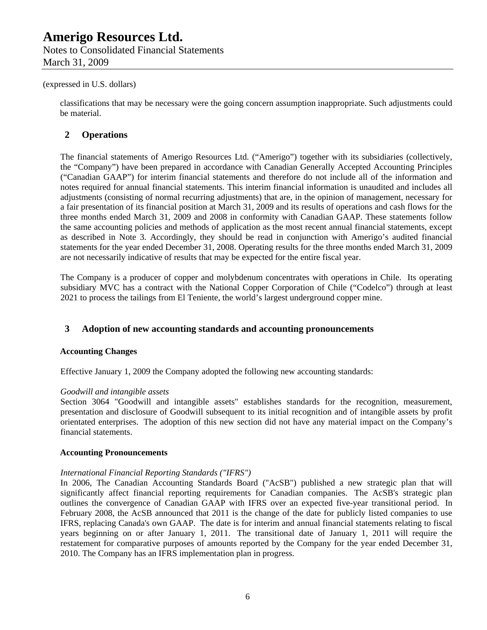#### (expressed in U.S. dollars)

classifications that may be necessary were the going concern assumption inappropriate. Such adjustments could be material.

#### **2 Operations**

The financial statements of Amerigo Resources Ltd. ("Amerigo") together with its subsidiaries (collectively, the "Company") have been prepared in accordance with Canadian Generally Accepted Accounting Principles ("Canadian GAAP") for interim financial statements and therefore do not include all of the information and notes required for annual financial statements. This interim financial information is unaudited and includes all adjustments (consisting of normal recurring adjustments) that are, in the opinion of management, necessary for a fair presentation of its financial position at March 31, 2009 and its results of operations and cash flows for the three months ended March 31, 2009 and 2008 in conformity with Canadian GAAP. These statements follow the same accounting policies and methods of application as the most recent annual financial statements, except as described in Note 3. Accordingly, they should be read in conjunction with Amerigo's audited financial statements for the year ended December 31, 2008. Operating results for the three months ended March 31, 2009 are not necessarily indicative of results that may be expected for the entire fiscal year.

The Company is a producer of copper and molybdenum concentrates with operations in Chile. Its operating subsidiary MVC has a contract with the National Copper Corporation of Chile ("Codelco") through at least 2021 to process the tailings from El Teniente, the world's largest underground copper mine.

### **3 Adoption of new accounting standards and accounting pronouncements**

#### **Accounting Changes**

Effective January 1, 2009 the Company adopted the following new accounting standards:

#### *Goodwill and intangible assets*

Section 3064 "Goodwill and intangible assets" establishes standards for the recognition, measurement, presentation and disclosure of Goodwill subsequent to its initial recognition and of intangible assets by profit orientated enterprises. The adoption of this new section did not have any material impact on the Company's financial statements.

#### **Accounting Pronouncements**

#### *International Financial Reporting Standards ("IFRS")*

In 2006, The Canadian Accounting Standards Board ("AcSB") published a new strategic plan that will significantly affect financial reporting requirements for Canadian companies. The AcSB's strategic plan outlines the convergence of Canadian GAAP with IFRS over an expected five-year transitional period. In February 2008, the AcSB announced that 2011 is the change of the date for publicly listed companies to use IFRS, replacing Canada's own GAAP. The date is for interim and annual financial statements relating to fiscal years beginning on or after January 1, 2011. The transitional date of January 1, 2011 will require the restatement for comparative purposes of amounts reported by the Company for the year ended December 31, 2010. The Company has an IFRS implementation plan in progress.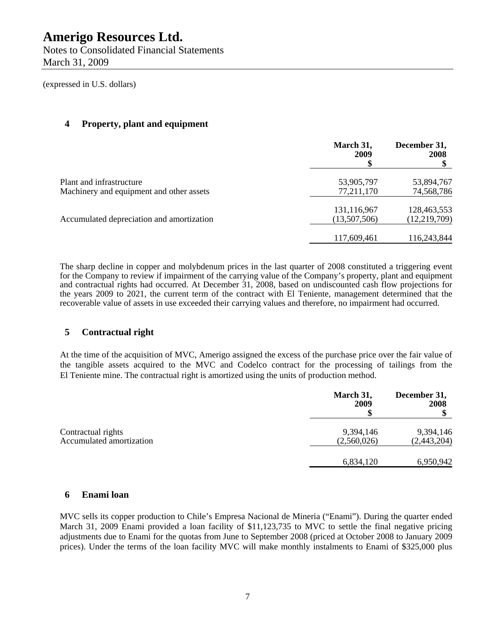(expressed in U.S. dollars)

# **4 Property, plant and equipment**

|                                           | March 31,<br>2009 | December 31,<br>2008 |
|-------------------------------------------|-------------------|----------------------|
| Plant and infrastructure                  | 53,905,797        | 53,894,767           |
| Machinery and equipment and other assets  | 77,211,170        | 74,568,786           |
|                                           | 131,116,967       | 128,463,553          |
| Accumulated depreciation and amortization | (13,507,506)      | (12, 219, 709)       |
|                                           | 117,609,461       | 116,243,844          |
|                                           |                   |                      |

The sharp decline in copper and molybdenum prices in the last quarter of 2008 constituted a triggering event for the Company to review if impairment of the carrying value of the Company's property, plant and equipment and contractual rights had occurred. At December 31, 2008, based on undiscounted cash flow projections for the years 2009 to 2021, the current term of the contract with El Teniente, management determined that the recoverable value of assets in use exceeded their carrying values and therefore, no impairment had occurred.

# **5 Contractual right**

At the time of the acquisition of MVC, Amerigo assigned the excess of the purchase price over the fair value of the tangible assets acquired to the MVC and Codelco contract for the processing of tailings from the El Teniente mine. The contractual right is amortized using the units of production method.

|                                                | March 31,<br>2009        | December 31,<br>2008     |
|------------------------------------------------|--------------------------|--------------------------|
| Contractual rights<br>Accumulated amortization | 9,394,146<br>(2,560,026) | 9,394,146<br>(2,443,204) |
|                                                | 6,834,120                | 6,950,942                |

## **6 Enami loan**

MVC sells its copper production to Chile's Empresa Nacional de Mineria ("Enami"). During the quarter ended March 31, 2009 Enami provided a loan facility of \$11,123,735 to MVC to settle the final negative pricing adjustments due to Enami for the quotas from June to September 2008 (priced at October 2008 to January 2009 prices). Under the terms of the loan facility MVC will make monthly instalments to Enami of \$325,000 plus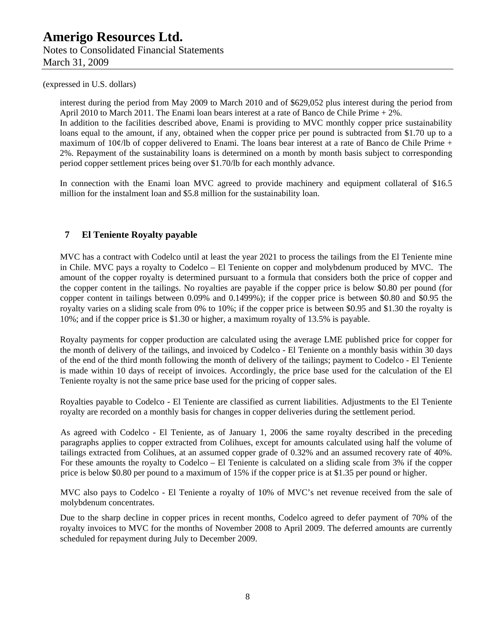March 31, 2009

(expressed in U.S. dollars)

interest during the period from May 2009 to March 2010 and of \$629,052 plus interest during the period from April 2010 to March 2011. The Enami loan bears interest at a rate of Banco de Chile Prime + 2%. In addition to the facilities described above, Enami is providing to MVC monthly copper price sustainability loans equal to the amount, if any, obtained when the copper price per pound is subtracted from \$1.70 up to a maximum of 10¢/lb of copper delivered to Enami. The loans bear interest at a rate of Banco de Chile Prime + 2%. Repayment of the sustainability loans is determined on a month by month basis subject to corresponding period copper settlement prices being over \$1.70/lb for each monthly advance.

In connection with the Enami loan MVC agreed to provide machinery and equipment collateral of \$16.5 million for the instalment loan and \$5.8 million for the sustainability loan.

# **7 El Teniente Royalty payable**

MVC has a contract with Codelco until at least the year 2021 to process the tailings from the El Teniente mine in Chile. MVC pays a royalty to Codelco – El Teniente on copper and molybdenum produced by MVC. The amount of the copper royalty is determined pursuant to a formula that considers both the price of copper and the copper content in the tailings. No royalties are payable if the copper price is below \$0.80 per pound (for copper content in tailings between 0.09% and 0.1499%); if the copper price is between \$0.80 and \$0.95 the royalty varies on a sliding scale from 0% to 10%; if the copper price is between \$0.95 and \$1.30 the royalty is 10%; and if the copper price is \$1.30 or higher, a maximum royalty of 13.5% is payable.

Royalty payments for copper production are calculated using the average LME published price for copper for the month of delivery of the tailings, and invoiced by Codelco - El Teniente on a monthly basis within 30 days of the end of the third month following the month of delivery of the tailings; payment to Codelco - El Teniente is made within 10 days of receipt of invoices. Accordingly, the price base used for the calculation of the El Teniente royalty is not the same price base used for the pricing of copper sales.

Royalties payable to Codelco - El Teniente are classified as current liabilities. Adjustments to the El Teniente royalty are recorded on a monthly basis for changes in copper deliveries during the settlement period.

As agreed with Codelco - El Teniente, as of January 1, 2006 the same royalty described in the preceding paragraphs applies to copper extracted from Colihues, except for amounts calculated using half the volume of tailings extracted from Colihues, at an assumed copper grade of 0.32% and an assumed recovery rate of 40%. For these amounts the royalty to Codelco – El Teniente is calculated on a sliding scale from 3% if the copper price is below \$0.80 per pound to a maximum of 15% if the copper price is at \$1.35 per pound or higher.

MVC also pays to Codelco - El Teniente a royalty of 10% of MVC's net revenue received from the sale of molybdenum concentrates.

Due to the sharp decline in copper prices in recent months, Codelco agreed to defer payment of 70% of the royalty invoices to MVC for the months of November 2008 to April 2009. The deferred amounts are currently scheduled for repayment during July to December 2009.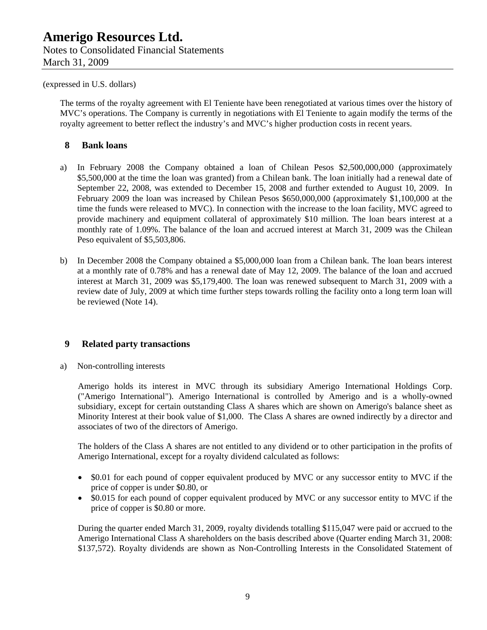#### (expressed in U.S. dollars)

The terms of the royalty agreement with El Teniente have been renegotiated at various times over the history of MVC's operations. The Company is currently in negotiations with El Teniente to again modify the terms of the royalty agreement to better reflect the industry's and MVC's higher production costs in recent years.

### **8 Bank loans**

- a) In February 2008 the Company obtained a loan of Chilean Pesos \$2,500,000,000 (approximately \$5,500,000 at the time the loan was granted) from a Chilean bank. The loan initially had a renewal date of September 22, 2008, was extended to December 15, 2008 and further extended to August 10, 2009. In February 2009 the loan was increased by Chilean Pesos \$650,000,000 (approximately \$1,100,000 at the time the funds were released to MVC). In connection with the increase to the loan facility, MVC agreed to provide machinery and equipment collateral of approximately \$10 million. The loan bears interest at a monthly rate of 1.09%. The balance of the loan and accrued interest at March 31, 2009 was the Chilean Peso equivalent of \$5,503,806.
- b) In December 2008 the Company obtained a \$5,000,000 loan from a Chilean bank. The loan bears interest at a monthly rate of 0.78% and has a renewal date of May 12, 2009. The balance of the loan and accrued interest at March 31, 2009 was \$5,179,400. The loan was renewed subsequent to March 31, 2009 with a review date of July, 2009 at which time further steps towards rolling the facility onto a long term loan will be reviewed (Note 14).

## **9 Related party transactions**

a) Non-controlling interests

Amerigo holds its interest in MVC through its subsidiary Amerigo International Holdings Corp. ("Amerigo International"). Amerigo International is controlled by Amerigo and is a wholly-owned subsidiary, except for certain outstanding Class A shares which are shown on Amerigo's balance sheet as Minority Interest at their book value of \$1,000. The Class A shares are owned indirectly by a director and associates of two of the directors of Amerigo.

The holders of the Class A shares are not entitled to any dividend or to other participation in the profits of Amerigo International, except for a royalty dividend calculated as follows:

- \$0.01 for each pound of copper equivalent produced by MVC or any successor entity to MVC if the price of copper is under \$0.80, or
- \$0.015 for each pound of copper equivalent produced by MVC or any successor entity to MVC if the price of copper is \$0.80 or more.

During the quarter ended March 31, 2009, royalty dividends totalling \$115,047 were paid or accrued to the Amerigo International Class A shareholders on the basis described above (Quarter ending March 31, 2008: \$137,572). Royalty dividends are shown as Non-Controlling Interests in the Consolidated Statement of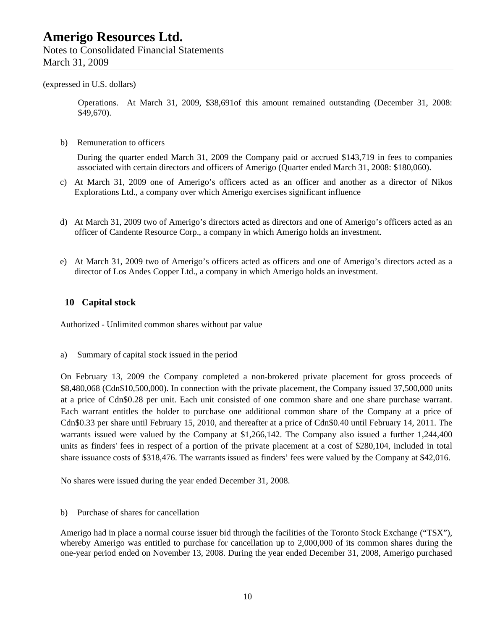(expressed in U.S. dollars)

Operations. At March 31, 2009, \$38,691of this amount remained outstanding (December 31, 2008: \$49,670).

b) Remuneration to officers

During the quarter ended March 31, 2009 the Company paid or accrued \$143,719 in fees to companies associated with certain directors and officers of Amerigo (Quarter ended March 31, 2008: \$180,060).

- c) At March 31, 2009 one of Amerigo's officers acted as an officer and another as a director of Nikos Explorations Ltd., a company over which Amerigo exercises significant influence
- d) At March 31, 2009 two of Amerigo's directors acted as directors and one of Amerigo's officers acted as an officer of Candente Resource Corp., a company in which Amerigo holds an investment.
- e) At March 31, 2009 two of Amerigo's officers acted as officers and one of Amerigo's directors acted as a director of Los Andes Copper Ltd., a company in which Amerigo holds an investment.

## **10 Capital stock**

Authorized - Unlimited common shares without par value

a) Summary of capital stock issued in the period

On February 13, 2009 the Company completed a non-brokered private placement for gross proceeds of \$8,480,068 (Cdn\$10,500,000). In connection with the private placement, the Company issued 37,500,000 units at a price of Cdn\$0.28 per unit. Each unit consisted of one common share and one share purchase warrant. Each warrant entitles the holder to purchase one additional common share of the Company at a price of Cdn\$0.33 per share until February 15, 2010, and thereafter at a price of Cdn\$0.40 until February 14, 2011. The warrants issued were valued by the Company at \$1,266,142. The Company also issued a further 1,244,400 units as finders' fees in respect of a portion of the private placement at a cost of \$280,104, included in total share issuance costs of \$318,476. The warrants issued as finders' fees were valued by the Company at \$42,016.

No shares were issued during the year ended December 31, 2008.

b) Purchase of shares for cancellation

Amerigo had in place a normal course issuer bid through the facilities of the Toronto Stock Exchange ("TSX"), whereby Amerigo was entitled to purchase for cancellation up to 2,000,000 of its common shares during the one-year period ended on November 13, 2008. During the year ended December 31, 2008, Amerigo purchased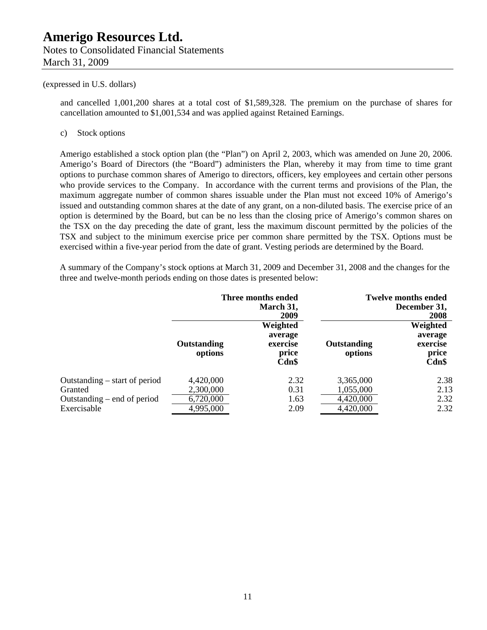#### (expressed in U.S. dollars)

and cancelled 1,001,200 shares at a total cost of \$1,589,328. The premium on the purchase of shares for cancellation amounted to \$1,001,534 and was applied against Retained Earnings.

#### c) Stock options

Amerigo established a stock option plan (the "Plan") on April 2, 2003, which was amended on June 20, 2006. Amerigo's Board of Directors (the "Board") administers the Plan, whereby it may from time to time grant options to purchase common shares of Amerigo to directors, officers, key employees and certain other persons who provide services to the Company. In accordance with the current terms and provisions of the Plan, the maximum aggregate number of common shares issuable under the Plan must not exceed 10% of Amerigo's issued and outstanding common shares at the date of any grant, on a non-diluted basis. The exercise price of an option is determined by the Board, but can be no less than the closing price of Amerigo's common shares on the TSX on the day preceding the date of grant, less the maximum discount permitted by the policies of the TSX and subject to the minimum exercise price per common share permitted by the TSX. Options must be exercised within a five-year period from the date of grant. Vesting periods are determined by the Board.

A summary of the Company's stock options at March 31, 2009 and December 31, 2008 and the changes for the three and twelve-month periods ending on those dates is presented below:

|                                                                                          | Three months ended<br>March 31,<br>2009          |                                                   |                                                  | <b>Twelve months ended</b><br>December 31,<br>2008 |
|------------------------------------------------------------------------------------------|--------------------------------------------------|---------------------------------------------------|--------------------------------------------------|----------------------------------------------------|
|                                                                                          | <b>Outstanding</b><br>options                    | Weighted<br>average<br>exercise<br>price<br>Cdn\$ | Outstanding<br>options                           | Weighted<br>average<br>exercise<br>price<br>Cdn\$  |
| Outstanding $-$ start of period<br>Granted<br>Outstanding – end of period<br>Exercisable | 4,420,000<br>2,300,000<br>6,720,000<br>4,995,000 | 2.32<br>0.31<br>1.63<br>2.09                      | 3,365,000<br>1,055,000<br>4,420,000<br>4,420,000 | 2.38<br>2.13<br>2.32<br>2.32                       |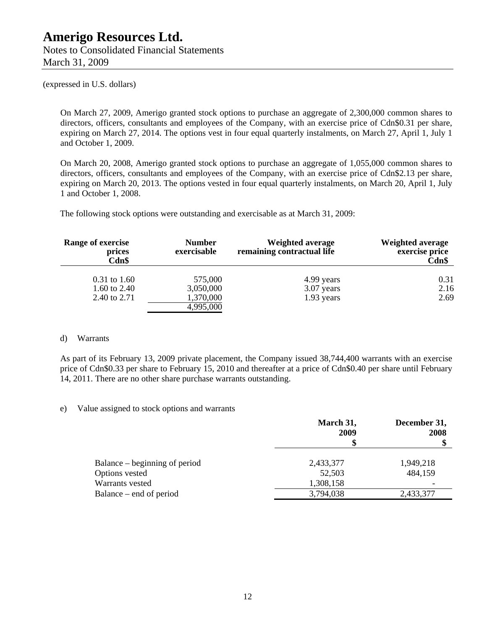(expressed in U.S. dollars)

On March 27, 2009, Amerigo granted stock options to purchase an aggregate of 2,300,000 common shares to directors, officers, consultants and employees of the Company, with an exercise price of Cdn\$0.31 per share, expiring on March 27, 2014. The options vest in four equal quarterly instalments, on March 27, April 1, July 1 and October 1, 2009.

On March 20, 2008, Amerigo granted stock options to purchase an aggregate of 1,055,000 common shares to directors, officers, consultants and employees of the Company, with an exercise price of Cdn\$2.13 per share, expiring on March 20, 2013. The options vested in four equal quarterly instalments, on March 20, April 1, July 1 and October 1, 2008.

The following stock options were outstanding and exercisable as at March 31, 2009:

| <b>Range of exercise</b><br>prices<br>Cdn\$ | <b>Number</b><br>exercisable | Weighted average<br>remaining contractual life | <b>Weighted average</b><br>exercise price<br>Cdn\$ |
|---------------------------------------------|------------------------------|------------------------------------------------|----------------------------------------------------|
| $0.31$ to $1.60$                            | 575,000                      | 4.99 years                                     | 0.31                                               |
| 1.60 to $2.40$                              | 3,050,000                    | 3.07 years                                     | 2.16                                               |
| 2.40 to 2.71                                | 1,370,000                    | 1.93 years                                     | 2.69                                               |
|                                             | 4,995,000                    |                                                |                                                    |

#### d) Warrants

As part of its February 13, 2009 private placement, the Company issued 38,744,400 warrants with an exercise price of Cdn\$0.33 per share to February 15, 2010 and thereafter at a price of Cdn\$0.40 per share until February 14, 2011. There are no other share purchase warrants outstanding.

#### e) Value assigned to stock options and warrants

|                               | March 31,<br>2009 | December 31,<br>2008 |
|-------------------------------|-------------------|----------------------|
| Balance – beginning of period | 2,433,377         | 1,949,218            |
| Options vested                | 52,503            | 484,159              |
| Warrants vested               | 1,308,158         |                      |
| Balance – end of period       | 3,794,038         | 2,433,377            |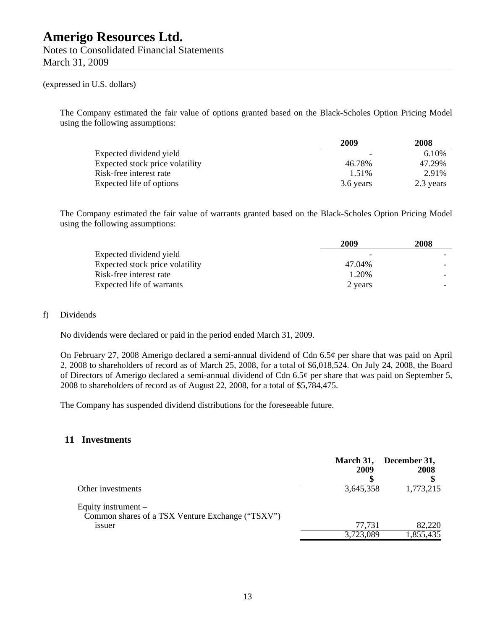### (expressed in U.S. dollars)

The Company estimated the fair value of options granted based on the Black-Scholes Option Pricing Model using the following assumptions:

|                                 | 2009      | 2008      |
|---------------------------------|-----------|-----------|
| Expected dividend yield         |           | 6.10%     |
| Expected stock price volatility | 46.78%    | 47.29%    |
| Risk-free interest rate         | 1.51%     | 2.91%     |
| Expected life of options        | 3.6 years | 2.3 years |

The Company estimated the fair value of warrants granted based on the Black-Scholes Option Pricing Model using the following assumptions:

|                                 | 2009    | 2008 |
|---------------------------------|---------|------|
| Expected dividend yield         |         |      |
| Expected stock price volatility | 47.04%  |      |
| Risk-free interest rate         | 1.20%   |      |
| Expected life of warrants       | 2 years |      |

#### f) Dividends

No dividends were declared or paid in the period ended March 31, 2009.

On February 27, 2008 Amerigo declared a semi-annual dividend of Cdn 6.5¢ per share that was paid on April 2, 2008 to shareholders of record as of March 25, 2008, for a total of \$6,018,524. On July 24, 2008, the Board of Directors of Amerigo declared a semi-annual dividend of Cdn 6.5¢ per share that was paid on September 5, 2008 to shareholders of record as of August 22, 2008, for a total of \$5,784,475.

The Company has suspended dividend distributions for the foreseeable future.

#### **11 Investments**

|                                                                                     | March 31,<br>2009 | December 31,<br>2008 |
|-------------------------------------------------------------------------------------|-------------------|----------------------|
| Other investments                                                                   | 3,645,358         | 1,773,215            |
| Equity instrument $-$<br>Common shares of a TSX Venture Exchange ("TSXV")<br>1ssuer | 77,731            | 82,220               |
|                                                                                     | 3,723,089         | 1,855,435            |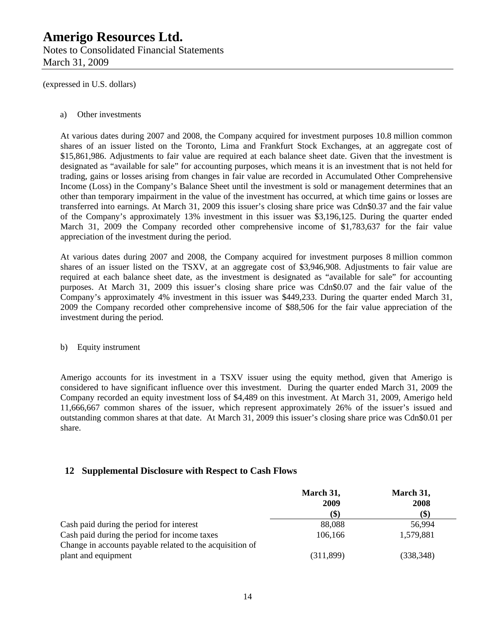Notes to Consolidated Financial Statements March 31, 2009

(expressed in U.S. dollars)

#### a) Other investments

At various dates during 2007 and 2008, the Company acquired for investment purposes 10.8 million common shares of an issuer listed on the Toronto, Lima and Frankfurt Stock Exchanges, at an aggregate cost of \$15,861,986. Adjustments to fair value are required at each balance sheet date. Given that the investment is designated as "available for sale" for accounting purposes, which means it is an investment that is not held for trading, gains or losses arising from changes in fair value are recorded in Accumulated Other Comprehensive Income (Loss) in the Company's Balance Sheet until the investment is sold or management determines that an other than temporary impairment in the value of the investment has occurred, at which time gains or losses are transferred into earnings. At March 31, 2009 this issuer's closing share price was Cdn\$0.37 and the fair value of the Company's approximately 13% investment in this issuer was \$3,196,125. During the quarter ended March 31, 2009 the Company recorded other comprehensive income of \$1,783,637 for the fair value appreciation of the investment during the period.

At various dates during 2007 and 2008, the Company acquired for investment purposes 8 million common shares of an issuer listed on the TSXV, at an aggregate cost of \$3,946,908. Adjustments to fair value are required at each balance sheet date, as the investment is designated as "available for sale" for accounting purposes. At March 31, 2009 this issuer's closing share price was Cdn\$0.07 and the fair value of the Company's approximately 4% investment in this issuer was \$449,233. During the quarter ended March 31, 2009 the Company recorded other comprehensive income of \$88,506 for the fair value appreciation of the investment during the period.

#### b) Equity instrument

Amerigo accounts for its investment in a TSXV issuer using the equity method, given that Amerigo is considered to have significant influence over this investment. During the quarter ended March 31, 2009 the Company recorded an equity investment loss of \$4,489 on this investment. At March 31, 2009, Amerigo held 11,666,667 common shares of the issuer, which represent approximately 26% of the issuer's issued and outstanding common shares at that date. At March 31, 2009 this issuer's closing share price was Cdn\$0.01 per share.

## **12 Supplemental Disclosure with Respect to Cash Flows**

|                                                          | March 31,<br>2009         | March 31,<br>2008 |
|----------------------------------------------------------|---------------------------|-------------------|
|                                                          |                           |                   |
|                                                          | $\left( \text{\$}\right)$ | (\$)              |
| Cash paid during the period for interest                 | 88,088                    | 56,994            |
| Cash paid during the period for income taxes             | 106,166                   | 1,579,881         |
| Change in accounts payable related to the acquisition of |                           |                   |
| plant and equipment                                      | (311, 899)                | (338, 348)        |